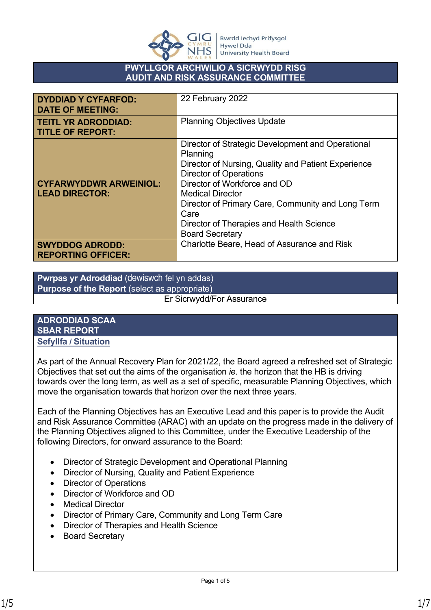

## **PWYLLGOR ARCHWILIO A SICRWYDD RISG AUDIT AND RISK ASSURANCE COMMITTEE**

| <b>DYDDIAD Y CYFARFOD:</b><br><b>DATE OF MEETING:</b>  | 22 February 2022                                                                                                                                                                                                                                                                                                                                    |
|--------------------------------------------------------|-----------------------------------------------------------------------------------------------------------------------------------------------------------------------------------------------------------------------------------------------------------------------------------------------------------------------------------------------------|
| <b>TEITL YR ADRODDIAD:</b><br><b>TITLE OF REPORT:</b>  | <b>Planning Objectives Update</b>                                                                                                                                                                                                                                                                                                                   |
| <b>CYFARWYDDWR ARWEINIOL:</b><br><b>LEAD DIRECTOR:</b> | Director of Strategic Development and Operational<br>Planning<br>Director of Nursing, Quality and Patient Experience<br><b>Director of Operations</b><br>Director of Workforce and OD<br><b>Medical Director</b><br>Director of Primary Care, Community and Long Term<br>Care<br>Director of Therapies and Health Science<br><b>Board Secretary</b> |
| <b>SWYDDOG ADRODD:</b><br><b>REPORTING OFFICER:</b>    | Charlotte Beare, Head of Assurance and Risk                                                                                                                                                                                                                                                                                                         |

**Pwrpas yr Adroddiad** (dewiswch fel yn addas) **Purpose of the Report** (select as appropriate)

Er Sicrwydd/For Assurance

#### **ADRODDIAD SCAA SBAR REPORT Sefyllfa / Situation**

As part of the Annual Recovery Plan for 2021/22, the Board agreed a refreshed set of Strategic Objectives that set out the aims of the organisation *ie.* the horizon that the HB is driving towards over the long term, as well as a set of specific, measurable Planning Objectives, which move the organisation towards that horizon over the next three years.

Each of the Planning Objectives has an Executive Lead and this paper is to provide the Audit and Risk Assurance Committee (ARAC) with an update on the progress made in the delivery of the Planning Objectives aligned to this Committee, under the Executive Leadership of the following Directors, for onward assurance to the Board:

- Director of Strategic Development and Operational Planning
- Director of Nursing, Quality and Patient Experience
- Director of Operations
- Director of Workforce and OD
- Medical Director
- Director of Primary Care, Community and Long Term Care
- Director of Therapies and Health Science
- Board Secretary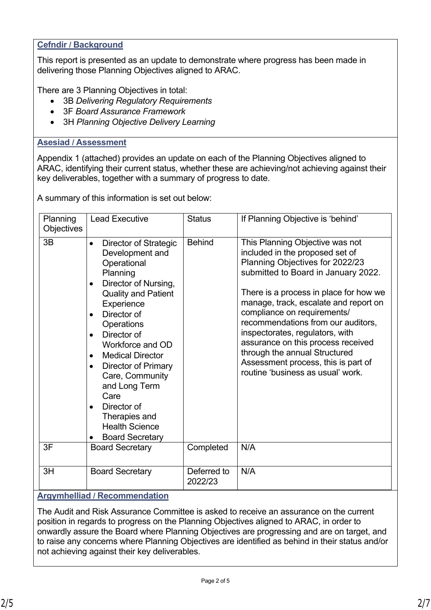## **Cefndir / Background**

This report is presented as an update to demonstrate where progress has been made in delivering those Planning Objectives aligned to ARAC.

There are 3 Planning Objectives in total:

- 3B *Delivering Regulatory Requirements*
- 3F *Board Assurance Framework*
- 3H *Planning Objective Delivery Learning*

## **Asesiad / Assessment**

Appendix 1 (attached) provides an update on each of the Planning Objectives aligned to ARAC, identifying their current status, whether these are achieving/not achieving against their key deliverables, together with a summary of progress to date.

A summary of this information is set out below:

| Planning<br><b>Objectives</b> | <b>Lead Executive</b>                                                                                                                                                                                                                                                                                                                                                                                                                                                         | <b>Status</b> | If Planning Objective is 'behind'                                                                                                                                                                                                                                                                                                                                                                                                                                                          |
|-------------------------------|-------------------------------------------------------------------------------------------------------------------------------------------------------------------------------------------------------------------------------------------------------------------------------------------------------------------------------------------------------------------------------------------------------------------------------------------------------------------------------|---------------|--------------------------------------------------------------------------------------------------------------------------------------------------------------------------------------------------------------------------------------------------------------------------------------------------------------------------------------------------------------------------------------------------------------------------------------------------------------------------------------------|
| 3B                            | <b>Director of Strategic</b><br>$\bullet$<br>Development and<br>Operational<br>Planning<br>Director of Nursing,<br>$\bullet$<br><b>Quality and Patient</b><br>Experience<br>Director of<br>$\bullet$<br>Operations<br>Director of<br>$\bullet$<br>Workforce and OD<br><b>Medical Director</b><br>$\bullet$<br>Director of Primary<br>$\bullet$<br>Care, Community<br>and Long Term<br>Care<br>Director of<br>Therapies and<br><b>Health Science</b><br><b>Board Secretary</b> | <b>Behind</b> | This Planning Objective was not<br>included in the proposed set of<br>Planning Objectives for 2022/23<br>submitted to Board in January 2022.<br>There is a process in place for how we<br>manage, track, escalate and report on<br>compliance on requirements/<br>recommendations from our auditors,<br>inspectorates, regulators, with<br>assurance on this process received<br>through the annual Structured<br>Assessment process, this is part of<br>routine 'business as usual' work. |
| 3F                            | <b>Board Secretary</b>                                                                                                                                                                                                                                                                                                                                                                                                                                                        | Completed     | N/A                                                                                                                                                                                                                                                                                                                                                                                                                                                                                        |
| 3H                            | <b>Board Secretary</b>                                                                                                                                                                                                                                                                                                                                                                                                                                                        |               | N/A                                                                                                                                                                                                                                                                                                                                                                                                                                                                                        |

#### **Argymhelliad / Recommendation**

The Audit and Risk Assurance Committee is asked to receive an assurance on the current position in regards to progress on the Planning Objectives aligned to ARAC, in order to onwardly assure the Board where Planning Objectives are progressing and are on target, and to raise any concerns where Planning Objectives are identified as behind in their status and/or not achieving against their key deliverables.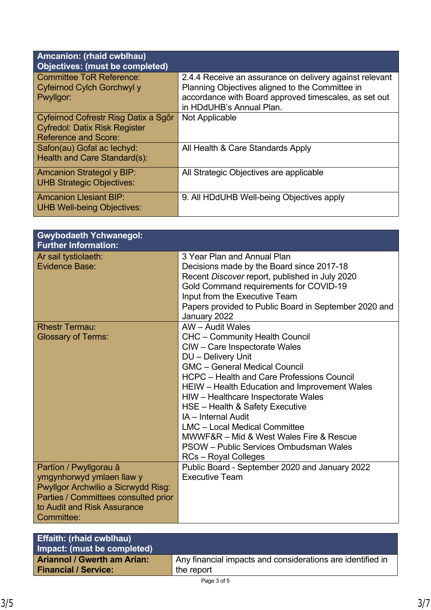| Amcanion: (rhaid cwblhau)<br><b>Objectives: (must be completed)</b>                                         |                                                                                                                                                                                                 |
|-------------------------------------------------------------------------------------------------------------|-------------------------------------------------------------------------------------------------------------------------------------------------------------------------------------------------|
| <b>Committee ToR Reference:</b><br>Cyfeirnod Cylch Gorchwyl y<br>Pwyllgor:                                  | 2.4.4 Receive an assurance on delivery against relevant<br>Planning Objectives aligned to the Committee in<br>accordance with Board approved timescales, as set out<br>in HDdUHB's Annual Plan. |
| Cyfeirnod Cofrestr Risg Datix a Sgôr<br><b>Cyfredol: Datix Risk Register</b><br><b>Reference and Score:</b> | Not Applicable                                                                                                                                                                                  |
| Safon(au) Gofal ac lechyd:<br>Health and Care Standard(s):                                                  | All Health & Care Standards Apply                                                                                                                                                               |
| <b>Amcanion Strategol y BIP:</b><br><b>UHB Strategic Objectives:</b>                                        | All Strategic Objectives are applicable                                                                                                                                                         |
| <b>Amcanion Llesiant BIP:</b><br><b>UHB Well-being Objectives:</b>                                          | 9. All HDdUHB Well-being Objectives apply                                                                                                                                                       |

| <b>Gwybodaeth Ychwanegol:</b><br><b>Further Information:</b>                                                                                                                    |                                                                                                                                                                                                                                                                                                                                                                                                                                                                                                                             |
|---------------------------------------------------------------------------------------------------------------------------------------------------------------------------------|-----------------------------------------------------------------------------------------------------------------------------------------------------------------------------------------------------------------------------------------------------------------------------------------------------------------------------------------------------------------------------------------------------------------------------------------------------------------------------------------------------------------------------|
| Ar sail tystiolaeth:<br>Evidence Base:                                                                                                                                          | 3 Year Plan and Annual Plan<br>Decisions made by the Board since 2017-18<br>Recent Discover report, published in July 2020<br>Gold Command requirements for COVID-19<br>Input from the Executive Team<br>Papers provided to Public Board in September 2020 and<br>January 2022                                                                                                                                                                                                                                              |
| <b>Rhestr Termau:</b><br><b>Glossary of Terms:</b>                                                                                                                              | AW - Audit Wales<br><b>CHC</b> - Community Health Council<br>CIW - Care Inspectorate Wales<br>DU - Delivery Unit<br><b>GMC</b> - General Medical Council<br><b>HCPC - Health and Care Professions Council</b><br>HEIW - Health Education and Improvement Wales<br>HIW - Healthcare Inspectorate Wales<br>HSE - Health & Safety Executive<br>IA - Internal Audit<br><b>LMC</b> - Local Medical Committee<br>MWWF&R - Mid & West Wales Fire & Rescue<br>PSOW - Public Services Ombudsman Wales<br><b>RCs - Royal Colleges</b> |
| Partïon / Pwyllgorau â<br>ymgynhorwyd ymlaen llaw y<br>Pwyllgor Archwilio a Sicrwydd Risg:<br>Parties / Committees consulted prior<br>to Audit and Risk Assurance<br>Committee: | Public Board - September 2020 and January 2022<br><b>Executive Team</b>                                                                                                                                                                                                                                                                                                                                                                                                                                                     |

| <b>Effaith: (rhaid cwblhau)</b><br>Impact: (must be completed) |                                                            |
|----------------------------------------------------------------|------------------------------------------------------------|
| <b>Ariannol / Gwerth am Arian:</b>                             | Any financial impacts and considerations are identified in |
| <b>Financial / Service:</b>                                    | the report                                                 |
|                                                                |                                                            |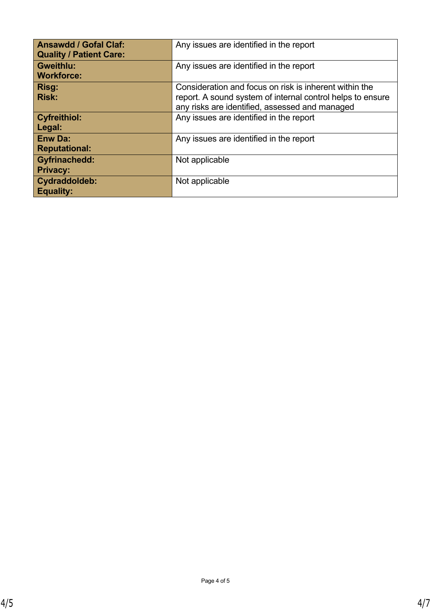| <b>Ansawdd / Gofal Claf:</b><br><b>Quality / Patient Care:</b> | Any issues are identified in the report                                                                                                                                |
|----------------------------------------------------------------|------------------------------------------------------------------------------------------------------------------------------------------------------------------------|
| <b>Gweithlu:</b><br><b>Workforce:</b>                          | Any issues are identified in the report                                                                                                                                |
| Risg:<br><b>Risk:</b>                                          | Consideration and focus on risk is inherent within the<br>report. A sound system of internal control helps to ensure<br>any risks are identified, assessed and managed |
| <b>Cyfreithiol:</b><br>Legal:                                  | Any issues are identified in the report                                                                                                                                |
| <b>Enw Da:</b><br><b>Reputational:</b>                         | Any issues are identified in the report                                                                                                                                |
| <b>Gyfrinachedd:</b><br><b>Privacy:</b>                        | Not applicable                                                                                                                                                         |
| Cydraddoldeb:<br><b>Equality:</b>                              | Not applicable                                                                                                                                                         |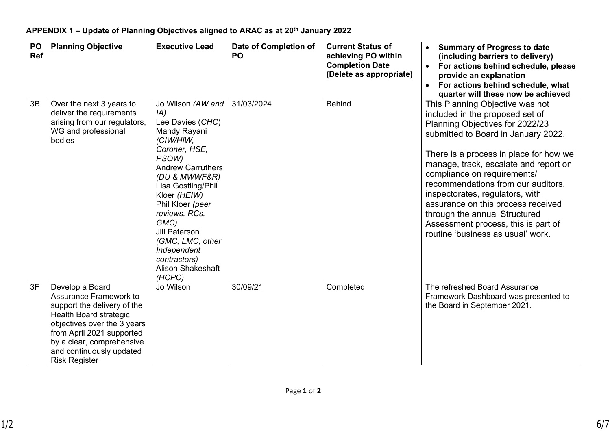| PO<br>Ref | <b>Planning Objective</b>                                                                                                                                                                                                                       | <b>Executive Lead</b>                                                                                                                                                                                                                                                                                                                                | Date of Completion of<br><b>PO</b> | <b>Current Status of</b><br>achieving PO within<br><b>Completion Date</b><br>(Delete as appropriate) | <b>Summary of Progress to date</b><br>(including barriers to delivery)<br>For actions behind schedule, please<br>provide an explanation<br>For actions behind schedule, what<br>$\bullet$<br>quarter will these now be achieved                                                                                                                                                                                                                                                            |
|-----------|-------------------------------------------------------------------------------------------------------------------------------------------------------------------------------------------------------------------------------------------------|------------------------------------------------------------------------------------------------------------------------------------------------------------------------------------------------------------------------------------------------------------------------------------------------------------------------------------------------------|------------------------------------|------------------------------------------------------------------------------------------------------|--------------------------------------------------------------------------------------------------------------------------------------------------------------------------------------------------------------------------------------------------------------------------------------------------------------------------------------------------------------------------------------------------------------------------------------------------------------------------------------------|
| 3B        | Over the next 3 years to<br>deliver the requirements<br>arising from our regulators,<br>WG and professional<br>bodies                                                                                                                           | Jo Wilson (AW and<br>IA)<br>Lee Davies (CHC)<br>Mandy Rayani<br>(CIW/HIW,<br>Coroner, HSE,<br>PSOW)<br><b>Andrew Carruthers</b><br>(DU & MWWF&R)<br>Lisa Gostling/Phil<br>Kloer (HEIW)<br>Phil Kloer (peer<br>reviews, RCs,<br>GMC)<br><b>Jill Paterson</b><br>(GMC, LMC, other<br>Independent<br>contractors)<br><b>Alison Shakeshaft</b><br>(HCPC) | 31/03/2024                         | <b>Behind</b>                                                                                        | This Planning Objective was not<br>included in the proposed set of<br>Planning Objectives for 2022/23<br>submitted to Board in January 2022.<br>There is a process in place for how we<br>manage, track, escalate and report on<br>compliance on requirements/<br>recommendations from our auditors.<br>inspectorates, regulators, with<br>assurance on this process received<br>through the annual Structured<br>Assessment process, this is part of<br>routine 'business as usual' work. |
| 3F        | Develop a Board<br>Assurance Framework to<br>support the delivery of the<br>Health Board strategic<br>objectives over the 3 years<br>from April 2021 supported<br>by a clear, comprehensive<br>and continuously updated<br><b>Risk Register</b> | Jo Wilson                                                                                                                                                                                                                                                                                                                                            | 30/09/21                           | Completed                                                                                            | The refreshed Board Assurance<br>Framework Dashboard was presented to<br>the Board in September 2021.                                                                                                                                                                                                                                                                                                                                                                                      |

# **APPENDIX 1 – Update of Planning Objectives aligned to ARAC as at 20th January 2022**